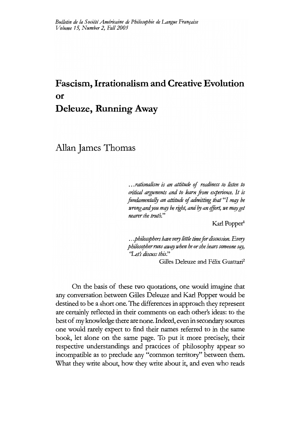# **Fascism., Irrationalisßl and Creative Evolution or Deleuze, Running Away**

Allan James Thomas

...*rationalism is an attitude* of *readiness to listen to critical arguments and to fearn from experience. It is fundamentally an attitude of admitting that* "I *may be wrong and you may be right, and by an effort, we may get nearer the truth.*"

Karl Popper<sup>1</sup>

.. *.philosophershave very littfe timefor discussion. Every philosopher runs away when he or she hears someone say, ('Let} discuss this."*

Gilles Deleuze and Félix Guattari<sup>2</sup>

On the basis of these two quotations, one would imagine that any conversation between Gilles Deleuze and Karl Popper would be destined to be a short one. The differences in approach they represent are certainly reflected in their comments on each other's ideas: to the best of my knowledge there are none. Indeed, even in secondary sources one would rarely expect to find their names referred to in the same book, let alone on the same page. To put it more precisely, their respective understandings and practices of philosophy appear so incompatible as to preclude any "common territory" between them. What they write about, how they write about it, and even who reads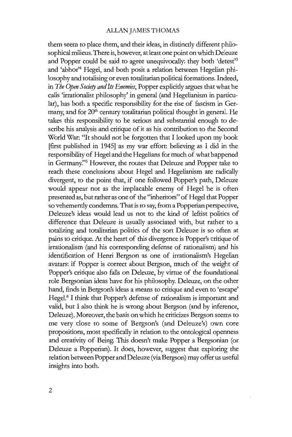them seem to place them, and their ideas, in distinctly different philosophical milieus. There is, however, at least one point on which Deleuze and Popper could be said to agree unequivocally: they both 'detest'3 and 'abhor'4 Hegel, and both posit a relation between Hegelian pbilosophyand totalising or even totalitarian political formations. Indeed, in *The Open Society and Its Enemies*, Popper explicitly argues that what he calls 'irrationalist philosophy' in general (and Hegelianism in particular), has both a specific responsibility for the rise of fascism in Germany, and for  $20<sup>th</sup>$  century totalitarian political thought in general. He takes this responsibility to be serious and substantial enough to describe his analysis and critique of it as his contribution to the Second World War: "It should not be forgotten that I looked upon my book [first published in 1945] as my war effort: believing as I did in the responsibility of Hegel and the Hegelians for much of what happened in Germany."s However, the routes that Deleuze and Popper take to reach these conclusions about Hegel and Hegelianism are radically divergent, to the point that, if one followed Popper's path, Deleuze would appear not as the implacable enemy of Hegel he is often presented as, but rather as one of the "inheritors" of Hegel that Popper so vehemently condemns. That is to say, from a Popperian perspective, Deleuze's ideas would lead us not to the kind of leftist politics of difference that Deleuze is usually associated with, but rather to a totalizing and totalitarian politics of the sort Deleuze is so often at pains to critique. At the heart of this divergence is Popper's critique of irrationalism (and bis corresponding defense of rationalism) and bis identification of Henri Bergson as one of irrationalism's Hegelian avatars: if Popper is correct about Bergson, much of the weight of Popper's critique also falls on Deleuze, by virtue of the foundational role Bergsonian ideas have for bis philosophy: Deleuze, on the other hand, finds in Bergson's ideas a means to critique and even to 'escape' Hegel.<sup>6</sup> I think that Popper's defense of rationalism is important and valid, but I also think he is wrong about Bergson (and by inference, Deleuze). Moreover, the basis on which he criticizes Bergson seems to me very close to some of Bergson's (and Deleuze's) own eore propositions, most specifically in relation to the ontological openness and creativity of Being. This doesn't make Popper a Bergsonian (or Deleuze a Popperian). It does, however, suggest that exploring the relation between Popper and Deleuze (viaBergson) may offer us useful insights into both.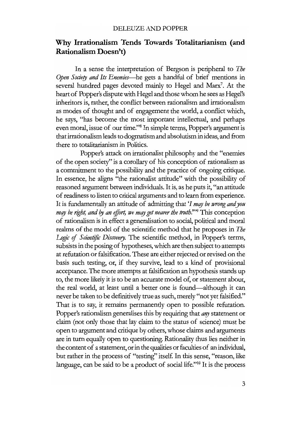# **Why Irrationalism Tends Towards Totalitarianism (and Rationalism Doesn't)**

In a sense the interpretation of Bergson is peripheral to *The Open Society and Its Enemies*-he gets a handful of brief mentions in several hundred pages devoted mainly to Hegel and Marx? At the heart of Popper's disputewith Hegel and those whom he sees as Hegel's inheritors is, rather, the conflict between rationalism and irrationalism as modes of thought and of engagement the world, a conflict wbich, he says, "has become the most important intellectual, and perhaps even moral, issue of our *time."B* In simple terms, Popper's argument is thatirrationalism leads to dogmatism and absolutism in ideas, and from there to totalitarianism in Politics.

Popper's attack on irrationalist philosophy and the "enemies of the open society" is a corollary of bis conception of rationalism as a commitment to the possibility and the practice of ongoing critique. In essence, he aligns "the rationalist attitude" with the possibility of reasoned argument between individuals. It is, as he puts it, "an attitude of readiness to listen to critical arguments and to learn from experience. It is fundamentally an attitude of admitting that '1 *may be wrong andyou may be right, and by an effort, we may get nearer the truth."<sup>39</sup> This conception* of rationalism is in effect a generalisation to social, political and moral realms of the model of the scientific method that he proposes in *The* Logic of Scientific Discovery. The scientific method, in Popper's terms, subsists in the posing of hypotheses, which are then subject to attempts at refutation or falsification. These are either rejected or revised on the basis such testing, or, if they survive, lead to a kind of provisional acceptance. The more attempts at falsification an hypothesis stands up to, the more likely it is to be an accurate model of, or statement about, the real world, at least until a better one is found-although it can never be taken to be definitively true as such, merely "not yet falsified." That is to say, it remains permanently open to possible refutation. Popper's rationalism generalises this by requiring that *any* statement or claim (not only those that lay claim to the status of science) must be open to argument and critique by others, whose claims and arguments are in turn equally open to questioning. Rationality thus lies neither in the content of a statement, or in the qualities or faculties of an individual, but rather in the process of "testing" itself. In this sense, "reason, like language, can be said to be a product of social life."<sup>10</sup> It is the process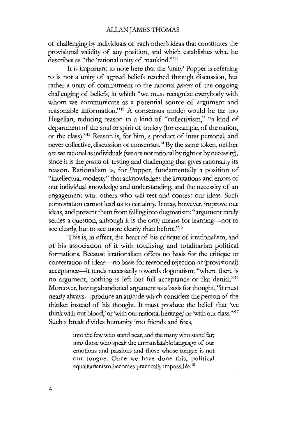of challenging by individuals of each other's ideas that constitutes the provisional validity of any position, and wbich establishes what he describes as "the 'rational unity of mankind."'ll

It is important to note here that the 'unity' Popper is referring to is not a unity of agreed beliefs reached through discussion, but rather a unity of commitment to the rational *process* of the ongoing challenging of beliefs, in which "we must recognize everybody with whom we communicate as a potential source of argument and reasonable information."12 A consensus model would be far too Hegelian, reducing reason to a kind of "collectivism," "a kind of department of the soul or spirit of society (for example, of the nation, or the class)."13 Reason is, for him, a product of inter-personal, and never collective, discussion or consensus.<sup>14</sup> By the same token, neither are we rational as individuals (we are not rational by right or by necessity), since it is the *process* of testing and challenging that gives rationality its reason. Rationalism is, for Popper, fundamentally a position of "intellectual modesty" that acknowledges the limitations and errors of our individual knowledge and understanding, and the necessity of an engagement with others who will test and contest our ideas. Such contestation cannot lead us to eertainty. It may, however, improve our ideas, and prevent them from falling into dogmatism: "argument rarely settles a question, although it is the only means for learning--not to see clearly, but to see more clearly than before."15

This is, in effect, the heart of his critique of irrationalism, and of his association of it with totalising and totalitarian political formations. Because irrationalism offers no basis for the critique or contestation of ideas-no basis for reasoned rejection or (provisional) acceptance-it tends necessarily towards dogmatism: "where there is no argument, nothing is left but full acceptance or flat denial."16 Moreover, having abandoned argument as a basis for thought, "it rnust nearly always...produce an attitude which considers the person of the thinker instead of his thought. It must produce the belief that 'we think with our blood,' or 'with our national heritage,' or 'with our class."<sup>17</sup> Such a break divides humanity into friends and foes,

> into the few who stand near, and the many who stand far; into those who speak the untranslatable language of our emotions and passions and those whose tongue is not our tongue. Once we have done this, political equalitarianism becomes practically impossible.<sup>18</sup>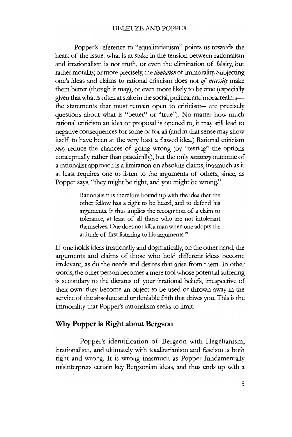#### DELEUZE AND POPPER

Popper's reference to "equalitarianism" points us towards the heart of the issue: what is at stake in the tension between rationalism and irrationalism is not truth, or even the elimination of falsity, but rather morality, or more precisely, the *limitation* of immorality. Subjecting one's ideas and claims to rational criticism does not of *necessity* make them better (though it may), or even more likely to be true (especially given that what is often at stake in the social, political and moral realmsthe statements that must remain open to criticism-are precisely questions about what is "better" or "true"). No matter how much rational criticism an idea or proposal is opened to, it may still lead to negative consequences for some or for all (and in that sense may show itself to have been at the very least a flawed idea.) Rational criticism *may* reduce the chances of going wrong (by "testing" the options conceptually rather than practically), but the only *necessary* outcome of a rationalist approach is a limitation on absolute claims, inasmuch as it at least requires one to listen to the arguments of others, since, as Popper says, "they might be right, and you might be wrong."

> Rationalism is therefore bound up with the idea that the other fellow has a right to be heard, and to defend bis arguments. It thus implies the recognition of a claim to tolerance, at least of all those who are not intolerant themselves. One does not kill aman when one adopts the attitude of first listening to his arguments.<sup>19</sup>

If one holds ideas irrationally and dogmatically, on the other hand, the arguments and claims of those who hold different ideas become irrelevant, as do the needs and desires that arise from them. In other words, the other person becomes a mere tool whose potential suffering is secondary to the dictates of your irrational beliefs, irrespective of their own: they become an object to be used or thrown away in the service of the absolute and undeniable faith that drives you. This is the immorality that Popper's rationalism seeks to limit.

## Why Popper is Right about Bergson

Popper's identification of Bergson with Hegelianism, irrationalism, and ultimately with totalitarianism and fascism is both right and wrong. It is wrong inasmuch as Popper fundamentally misinterprets certain key Bergsonian ideas, and thus ends up with a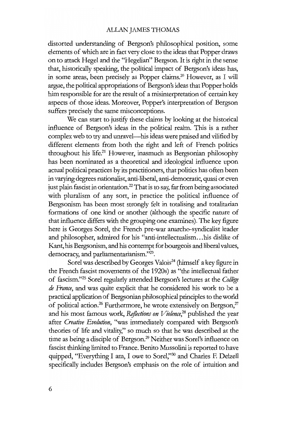distorted understanding of Bergson's philosophical position, some elements of which are in fact very close to the ideas that Popper draws on to attack Hegel and the "Hegelian" Bergson. It is right in the sense that, historically speaking, the political impact of Bergson's ideas has, in some areas, been precisely as Popper claims.20 However, as I will argue, the political appropriations of Bergson's ideas that Popper holds him responsible for are the result of a misinterpretation of certain key aspects of those ideas. Moreover, Popper's interpretation of Bergson suffers precisely the same misconceptions.

We can start to justify these claims by looking at the historical influence of Bergson's ideas in the political realm. This is a rather complex web to try and unravel-his ideas were praised and vilified by different elements from both the right and left of French politics throughout his life.<sup>21</sup> However, inasmuch as Bergsonian philosophy has been nominated as a theoretical and ideological influence upon actual political practices by its practitioners, that politics has often been in varying degrees nationalist, anti-liberal, anti-democratic, quasi or even just plain fascist in orientation.<sup>22</sup> That is to say, far from being associated with pluralism of any sort, in practice the political influence of Bergsonism has been most strongly feit in totalising and totalitarian formations of one kind or another (although the specific nature of that influence differs with the grouping one examines). The key figure here is Georges Sorel, the French pre-war anarcho-syndicalist leader and philosopher, admired for his "anti-intellectualism...his dislike of Kant, his Bergsonism, and his contempt for bourgeois and liberal values, democracy, and parliamentarianism."23.

Sorel was described by Georges Valois<sup>24</sup> (himself a key figure in the French fascist movements of the 1920s) as "the intellectual father of fascism."<sup>25</sup> Sorel regularly attended Bergson's lectures at the *Collège de France,* and was quite explicit that he considered his work to be a practical application of Bergsonian philosophical principles to the world of political action.<sup>26</sup> Furthermore, he wrote extensively on Bergson,<sup>27</sup> and his most famous work, *ReJlections on Violence,28* published the year after *Creative Evolution,* "was immediately compared with Bergson's theories of life and vitality," so much so that he was described at the time as being a disciple of Bergson.29 Neither was Sorel's influence on fascist thinking limited to France. Benito Mussolini is reported to have quipped, "Everything I am, I owe to Sorel,"<sup>30</sup> and Charles F. Delzell specifically includes Bergson's emphasis on the role of intuition and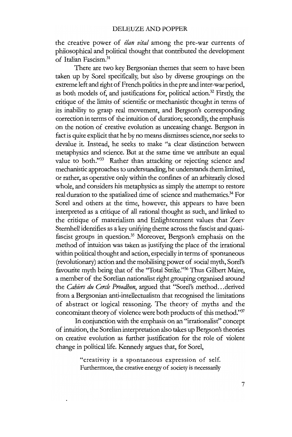the creative power of *elan vital* among the pre-war currents of philosophical and political thought that contributed the development of Italian Fascism.31

There are two key Bergsonian themes that seem to have been taken up by Sorel specifically, but also by diverse groupings on the extreme left and right of French politics in the pre and inter-war period, as both models of, and justifications for, political action.<sup>32</sup> Firstly, the critique of the limits of scientific or mechanistic thought in terms of its inability to grasp real movement, and Bergson's corresponding correction in terms of the intuition of duration; secondly, the emphasis on the notion of creative evolution as unceasing change. Bergson in fact is quite explicit that he by no means dismisses science, nor seeks to devalue it. Instead, he seeks to make "a clear distinction between metaphysics and science. But at the same time we attribute an equal value to both."33 Rather than attacking or rejecting science and mechanistic approaches to understanding, he understands themlimited, or rather, as operative only within the confines of an arbitrarily closed whole, and considers his metaphysics as simply the attempt to restore real duration to the spatialized time of science and mathematics.<sup>34</sup> For Sorel and others at the time, however, this appears to have been interpreted as a critique of all rational thought as such, and linked to the critique of materialism and Enlightenment values that Zeev Sternhell identifies as a key unifying theme across the fascist and quasifascist groups in question.35 Moreover, Bergson's emphasis on the method of intuition was taken as justifying the place of the irrational within political thought and action, especially in terms of spontaneous (revolutionary) action and the mobilising power of social myth, Sorel's favourite myth being that of the ''Total Strike."36 Thus Gilbert Maire, a member of the Sorelian nationalist right grouping organised around the *Cahiers du Cercle Proudhon,* argued that "Sorel's method...derived from a Bergsonian anti-intellectualism that recognised the limitations of abstract or logical reasoning. The theory of myths and the concomitant theory of violence were both products of this method."3?

In conjunction with the emphasis on an "irrationalist" concept of intuition, the Sorelian interpretation also takes up Bergson's theories on creative evolution as further justification for the role of violent change in political life. Kennedy argues that, for Sorel,

> "creativity is a spontaneous expression of self. Furthermore, the creative energy of society is necessarily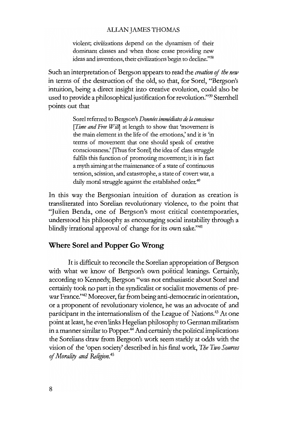violent; civilizations depend on the dynamism of their dominant classes and when those cease providing new ideas and inventions, their civilizations begin to decline."38

Such an interpretation of Bergson appears to read the *creation* of *the new* in terms of the destruction of the old, so that, for Sorel, "Bergson's intuition, being a direct insight into creative evolution, could also be used to provide a philosophical justification for revolution."39 Sternhell points out that

> Sorel referred to Bergson's *Données immédiates de la conscience [Time and Free Will*] at length to show that 'movement is the main element in the life of the emotions,' and it is 'in terms of movement that one should speak of creative consciousness.' [Thus for Sorel] the idea of class sttuggle fulflls this function of promoting movement; it is in fact a myth aiming at the maintenance of astate of continuous tension, scission, and catastrophe, a state of covert war, a daily moral struggle against the established order.<sup>40</sup>

In this way the Bergsonian intuition of duration as creation is transliterated into Sorelian revolutionary violence, to the point that "Julien Benda, one of Bergson's most critical contemporaries, understood bis philosophy as encouraging social instability through a blindly irrational approval of change for its own sake."<sup>41</sup>

## Where **Soret and Popper Go** Wrong

It is difficult to reconcile the Sorelian appropriation of Bergson with what we know of Bergson's own political leanings. Certainly, according to Kennedy, Bergson "was not enthusiastic about Sorel and certainly took no part in the syndicalist or socialist movements of prewar France."42 Moreover, far from being anti-democratic in orientation, or a proponent of revolutionary violence, he was an advocate of and participant in the internationalism of the League of Nations.<sup>43</sup> At one point at least, he even links Hegelian philosophy to German militarism in a manner similar to Popper.<sup>44</sup> And certainly the political implications the Sorelians draw from Bergson's work seem starkly at odds with the vision of the 'open society' described in bis final work, *The Two Sources* of*Mora/i!) and Re/igion.<sup>45</sup>*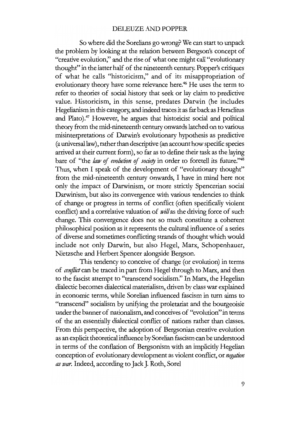## DELEUZE AND POPPER

So where did the Sorelians go wrong? We can start to unpack the problem by looking at the relation between Bergson's concept of "creative evolution," and the rise of what one might call "evolutionary thought" in the latter half of the nineteenth century. Popper's critiques of what he calls "historicism," and of its misappropriation of evolutionary theory have some relevance here.<sup>46</sup> He uses the term to refer to theories of social history that seek or lay claim to predictive value. Historicism, in this sense, predates Darwin (he includes Hegelianism in this category, and indeed traces it as far back as Heraclitus and Plato).<sup>47</sup> However, he argues that historicist social and political theory from the mid-nineteenth century onwards latched on to various misinterpretations of Darwin's evolutionary hypothesis as predictive (a universal law), rather than descriptive (an account how specific species arrived at their current form), so far as to define their task as the laying bare of "the *law of evolution of society* in order to foretell its future."<sup>48</sup> Thus, when I speak of the development of "evolutionary thought" from the mid-nineteenth century onwards, I have in mind here not only the impact of Darwinism, or more strictly Spencerian social Darwinism, but also its convergence with various tendencies to think of change or progress in terms of conflict (often specifically violent conflict) and a correlative valuation of *will*as the driving force of such change. This convergence does not so much constitute a coherent philosophical position as it represents the cultural influence of aseries of diverse and sometimes conflicting strands of thought which would include not only Darwin, but also Hegel, Marx, Schopenhauer, Nietzsche and Herbert Spencer alongside Bergson.

This tendency to conceive of change (or evolution) in terms of *conJlict* can be traced in part from Hegel through to Marx, and then to the fascist attempt to "transcend socialism." In Marx, the Hegelian dialectic becomes dialectical materialism, driven by class war explained in economic terms, while Sorelian influenced fascism in turn aims to "transcend" socialism by unifying the proletariat and the bourgeoisie under the banner of nationalism, and conceives of "evolution" in terms of the an essentially dialectical conflict of nations rather than classes. From this perspective, the adoption of Bergsonian creative evolution as an explicit theoreticalinfluence by Sorelian fascism can be understood in terms of the conflation of Bergsonism with an implicitly Hegelian conception of evolutionary development as violent conflict, or *negation as war*. Indeed, according to Jack J. Roth, Sorel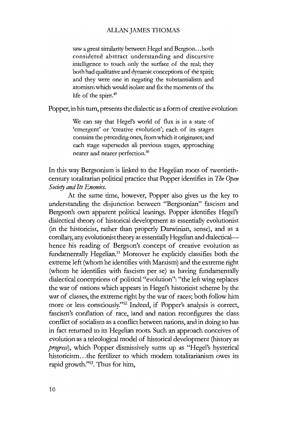saw a great similarity between Hegel and Bergson...both considered abstract understanding and discursive intelligence to touch only the surface of the real; they both had qualitative and dynamic conceptions of the spirit; and they were one in negating the substantialism and atomism which would isolate and fix the moments of the life of the spirit.<sup>49</sup>

Popper, in his turn, presents the dialectic as a form of creative evolution:

We can say that Hegel's world of flux is in a state of 'emergent' or 'creative evolution'; each of its stages contains the preceding ones, from which it originates; and each stage supersedes all previous stages, approaching nearer and nearer perfection.<sup>50</sup>

In this way Bergsonism is linked to the Hegelian roots of twentiethcentury totalitarian political practice that Popper identifies in *The Open Society and fis Enemies.*

At the same time, however, Popper also gives us the key to understanding the disjunction between "Bergsonian" fascism and Bergson's own apparent political leanings. Popper identifies Hegel's dialectical theory of bistorical development as essentially evolutionist (in the bistoricist, rather than properly Darwinian, sense), and as a corollary, any evolutionist theory as essentially Hegelian and dialecticalhence his reading of Bergson's concept of creative evolution as fundamentally Hegelian.51 Moreover he explicitly classifies both the extreme left (whom he identifies with Marxism) and the extreme right (whom he identifies with fascism per se) as having fundamentally dialectical conceptions of political "evolution": "the leftwing replaces the war of nations wbich appears in Hegel's bistoricist scheme by the war of classes, the extreme right by the war of races; both follow him more or less consciously."52 Indeed, if Popper's analysis is correct, fascism's conflation of race, land and nation reconfigures the class conflict of socialism as a conflict between nations, and in doing so has in fact returned to its Hegelian roots. Such an approach conceives of evolution as a teleological model of bistorical development (history as *progress),* wbich Popper dismissively sums up as "Hegel's hysterical bistoricism...the fertilizer to wbich modern totalitarianism owes its rapid growth."53. Thus for him,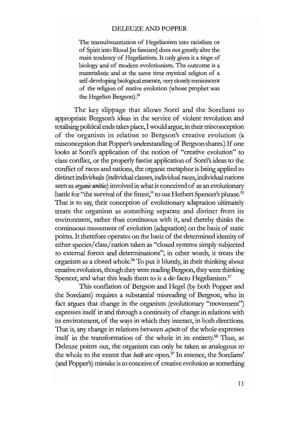#### DELEUZE AND POPPER

The transubstantiation of Hegelianism into racialism or of Spirit into Blood [in fascism] does not greatly alter the main tendency of Hegelianism. It only gives it a tinge of biology and *oE* modern evolutionism. The outcome is a materialistic and at the same time mystical religion *oE* a self-developing biological essence, very closely reminiscent *oE* the religion *oE* reative evolution (whose prophet was the Hegelian Bergson).<sup>54</sup>

The key slippage that allows Sorel and the Sorelians to appropriate Bergson's ideas in the service of violent revolution and totalising political ends takes place, I would argue, in their misconception of the organism in relation to Bergson's creative evolution (a misconception that Popper's understanding of Bergson shares.) If one looks at Sorel's application of the notion of "creative evolution" to class conflict, or the properly fascist application of Sorel's ideas to the conflict of races and nations, the organic metaphor is being applied to distinct individuals (individual classes, individual races, individual nations seen as *organicunities)* involved in whatis conceived of as an evolutionary battle for "the survival of the fittest," to use Herbert Spencer's phrase.<sup>55</sup> That is to say, their conception of evolutionary adaptation ultimately treats the organism as something separate and distinct from its environment, rather than continuous with it, and thereby thinks the continuous movement of evolution (adaptation) on the basis of static points. It therefore operates on the basis of the determined identity of either species/class/nation taken as "closed systems simply subjected to external forces and determinations"; in other words, it treats the organism as a closed whole.<sup>56</sup> To put it bluntly, in their thinking about creative evolution, though they were reading Bergson, they were thinking Spencer, and what this leads them to is a de-facto Hegelianism.<sup>57</sup>

This conflation of Bergson and Hegel (by both Popper and the Sorelians) requires a substantial misreading of Bergson, who in fact argues that change in the organism (evolutionary "movement'') expresses itself in and through a continuity of change in relations with its environment, of the ways in which they interact, in both directions. That is, any change in relations between *aspects* of the whole expresses itself in the transformation of the whole in its entirety.<sup>58</sup> Thus, as Deleuze points out, the organism can only be taken as analogous to the whole to the extent that *both* are open.59 In essence, the Sorelians' (and Popper's) mistake is to conceive of creative evolution as something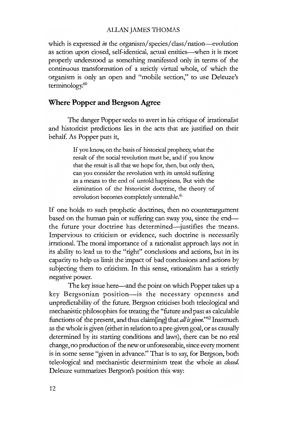which is expressed *in* the organism/species/class/nation-evolution as action upon closed, self-identical, actual entities-when it is more properly understood as something manifested only in terms of the continuous transformation of a stricdy vittual whole, of wbich the organism is only an open and "mobile section," to use Deleuze's terminology.<sup>60</sup>

## Where **Popper and Bergson** Agree

The danger Popper seeks to avert in bis critique of irrationalist and historicist predictions lies in the acts that are justified on their behalf. As Popper puts it,

> If you know, on the basis of historical prophecy, what the result of the social revolution must be, and if you know that the result is all that we hope for, then, but only then, can you consider the revolution with its untold suffering as a means to the end of untold happiness. But with the elimination of the historieist doctrine, the theory of revolution becomes completely untenable.<sup>61</sup>

If one holds to such prophetic doctrines, then no counterargument based on the human pain or suffering can sway you, since the endthe future your doctrine has determined—justifies the means. Impervious to criticism or evidence, such doctrine is necessarily irrational. The moral importance of a rationalist approach lays not in its ability to lead us to the "right" conclusions and actions, but in its capacity to help us limit the impact of bad conclusions and actions by subjecting them to criticism. In this sense, rationalism has a strictly negative power.

The key issue here—and the point on which Popper takes up a key Bergsonian position-is the necessary openness and unpredictability of the future. Bergson criticises both teleological and mechanistic philosophies for treating the "future and past as calculable functions of the present, and thus claim[mg] that *allisgiven."62* Inasmuch as the whole is given (eitherin relation to a pre-given goal, or as causally determined by its starting conditions and laws), there can be no real change, no production of the new or unforeseeable, since every moment is in some sense "given in advance." That is to say, for Bergson, both teleological and mechanistic determinism treat the whole as *closed.* Deleuze summarizes Bergson's position this way: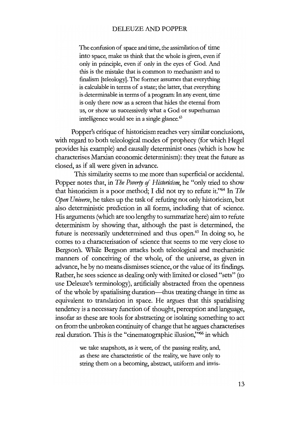The confusion of space and time, the assimilation of time into space, make us think that the whole is given, even if only in principle, even if only in the eyes of God. And this is the mistake that is common to mechanism and to fmalism [teleology]. The former assumes that everything is calculable in terms of astate; the latter, that everything is determinable in terms of a program: In any event, time is only there now as a screen that hides the eternal from us, or show us successively what a God or superhuman intelligence would see in a single glance.<sup>63</sup>

Popper's critique of historicism reaches very similar conclusions, with regard to both teleological modes of propheey (for which Hegel provides his example) and causally determinist ones (which is how he characterises Marxian economic determinism): they treat the future as closed, as if all were given in advance.

This similarity seems to me more than superficial or accidental. Popper notes that, in *The Poverty* of *Historicism,* he "only tried to show that historicism is a poor method; I did not try to refute it."64 In *The Open Universe,* he takes up the task of refuting not only historicism, but also deterministic prediction in all forms, including that of science. His arguments (which are too lengthy to summarize here) aim to refute determinism by showing that, although the past is determined, the future is necessarily undetermined and thus open.<sup>65</sup> In doing so, he comes to a characterisation of science that seems to me very close to Bergson's. While Bergson attacks both teleological and mechanistic manners of conceiving of the whole, of the universe, as given in advance, he by no means dismisses science, or the value of its findings. Rather, he sees science as dealing onlywith limited or closed "sets" (to use Deleuze's terminology), artificially abstracted from the openness of the whole by spatialising duration-thus treating change in time as equivalent to translation in space. He argues that this spatialising tendency is a necessary function of thought, perception and language, insofar as these are tools for abstracting or isolating something to act on from the unbroken continuity of change that he argues characterises real duration. This is the "cinematographic illusion,"<sup>66</sup> in which

> we take snapshots, as it were, of the passing reality; and, as these are characteristic of the reality, we have only to string them on a becoming, abstract, uniform and invis-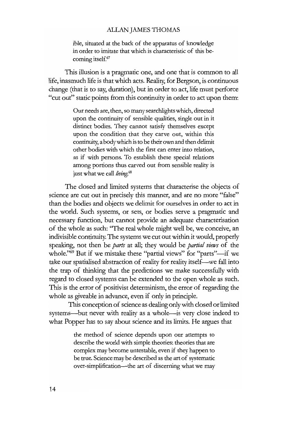ible, situated at the back of the apparatus of knowledge in order to imitate that which is characteristic of this becoming itself.<sup>67</sup>

This illusion is a pragmatic one, and one that is common to all life, inasmuch life is that which acts. Reality, for Bergson, is continuous change (that is to say, duration), but in order to act, life must perforce "cut out" static points from this continuity in order to act upon them:

> Our needs are, then, so many searchlights which, directed upon the continuity of sensible qualities, single out in it distinct bodies. They cannot satisfy themselves except upon the condition that they carve out, within this continuity, a bodywhich is to be their own and then delimit other bodies with which the first can enter into relation, as if with persons. To establish these special relations among portions thus carved out from sensible reality is just what we call *living.*<sup>68</sup>

The closed and limited systems that characterise the objects of science are cut out in precisely this manner, and are no more "false" than the bodies and objects we delimit for ourselves in order to act in the world. Such systems, or sets, or bodies serve a pragmatic and necessary function, but cannot provide an adequate characterisation of the whole as such: ''The real whole might weil be, we conceive, an indivisible continuity. The systems we cut outwithin it would, properly speaking, not then be *parts* at all; they would be *partial views* of the whole."<sup>69</sup> But if we mistake these "partial views" for "parts"-if we take our spatialised abstraction of reality for reality itself-we fall into the trap of thinking that the predictions we make successfully with regard to closed systems can be extended to the open whole as such. This is the error of positivist determinism, the error of regarding the whole as giveable in advance, even if only in principle.

This conception of science as dealing only with closed or limited systems-but never with reality as a whole-is very close indeed to what Popper has to say about science and its limits. He argues that

> the method of science depends upon our attempts to describe the world with simple theories: theories that are complex may become untestable, even if they happen to be ttue. Science may be described as the art of systematic over-simplification---the art of discerning what we may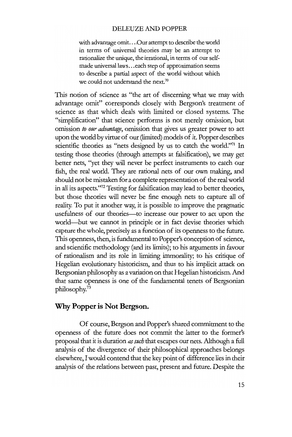### DELEUZE AND POPPER

with advantage omit....Our attempt to describe the world in terms of universal theories may be an attempt to rationalize the unique, the irrational, in terms of our selfmade universal laws...each step of approximation seems to describe a partial aspect of the world without which we could not understand the next.<sup>70</sup>

This notion of science as "the art of discerning what we may with advantage omit" corresponds closely with Bergson's treatment of science as that which deals with limited or closed systems. The "simplification" that science performs is not merely omission, but omission *to our advantage,* omission that gives us greater power to act upon the world by virtue of our (limited) models of it. Popper describes scientific theories as "nets designed by us to catch the world."71 In testing those theories (through attempts at falsification), we may get better nets, "yet they will never be perfect instruments to catch our fish, the real world. They are rational nets of our own making, and should not be mistaken for a complete representation of the real world in all its aspects."<sup>72</sup> Testing for falsification may lead to better theories, but those theories will never be fine enough nets to capture all of reality. To put it another way, it is possible to improve the pragmatic usefulness of our theories-to increase our power to act upon the world-but we cannot in principle or in fact devise theories which capture the whole, precisely as a function of its openness to the future. This openness, then, is fundamental to Popper's conception of science, and scientific methodology (and its limits); to his arguments in favour *oE* rationalism and its role in limiting immorality; to his critique of Hegelian evolutionary historicism, and thus to his implicit attack on Bergsonian philosophy as a variation on that Hegelian historicism. And that same openness is one of the fundamental tenets of Bergsonian philosophy.73

## Why **Popper is Not Bergson.**

Of course, Bergson and Popper's shared commitment to the openness of the future does not commit the latter to the former's proposal that it is duration *assuch* that escapes our nets. Although a full analysis of the divergence of their philosophical approaches belongs elsewhere, I would contend that the key point of difference lies in their analysis of the relations between past, present and future. Despite the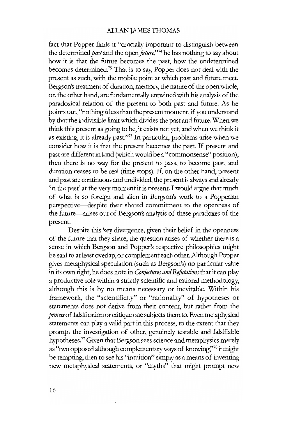fact that Popper finds it "crucially important to distinguish between the determined*pastand* the open*juture;'74* he has nothing to sayabout how it is that the future becomes the past, how the undetermined becomes determined.75 That is to say, Popper does not deal with the present as such, with the mobile point at which past and future meet. Bergson's treatment of duration, memory, the nature of the open whole, on the other hand, are fundamentally entwined with his analysis of the paradoxical relation of the present to both past and future. As he points out, "nothing *is* less than the present moment, if you understand by that the indivisible limit which divides the past and future. When we think this present as going to be, it exists not yet, and when we think it as existing, it is already past."76 In particular, problems arise when we consider how it is that the present becomes the past. If present and past are different in kind (which would be a "commonsense" position), then there is no way for the present to pass, to become past, and duration ceases to be real (time stops). If, on the other hand, present and past are continuous and undivided, the present is always and already 'in the past' at the very moment it is present. I would argue that much of what is so foreign and alien in Bergson's work to a Popperian perspective-despite their shared commitment to the openness of the future-arises out of Bergson's analysis of these paradoxes of the present.

Despite this key divergence, given their belief in the openness of the future that they share, the question arises of whether there is a sense in which Bergson and Popper's respective philosophies might be said to at least overlap, or complement each other. Although Popper gives metaphysical speculation (such as Bergson's) no particular value in its own right, he does note in *Conjectures and Refutations* that it can play a productive role within a strictly scientific and rational methodology, although this is by no means necessary or inevitable. Within his framework, the "scientificity" or "rationality" of hypotheses or statements does not derive from their content, but rather from the *process*of falsification or critique one subjects them to. Evenmetaphysical statements can play a valid part in this process, to the extent that they prompt the investigation of other, genuinely testable and falsifiable hypotheses.77 Given that Bergson sees science and metaphysics merely as "two opposed although complementaryways of knowing;'78 it might be tempting, then to see his "intuition" simplyas a means of inventing new metaphysical statements, or "myths" that might prompt new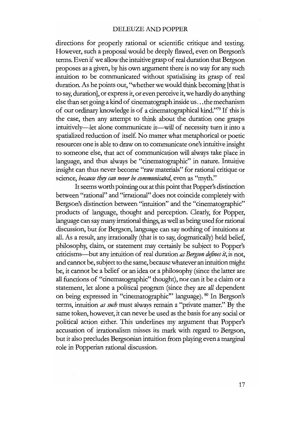directions for properly rational or scientific critique and testing. However, such a proposal would be deeply flawed, even on Bergson's terms. Even if we allow the intuitive grasp of real duration that Bergson proposes as a given, by his own argument there is no way for any such intuition to be communicated without spatialising its grasp of real duration. As he points out, "whether we would think becoming [that is to say, duration], or express it, or even perceive it, we hardly do anything else than set going a kind of cinematograph inside us...the mechanism of our orclinary knowledge is of a cinematographical kind."79 If this is the case, then any attempt to think about the duration one grasps intuitively-let alone communicate it-will of necessity turn it into a spatialized reduction of itself. No matter what metaphorical or poetic resources one is able to drawon to communicate one's intuitive insight to someone else, that act of communication will always take place in language, and thus always be "cinernatographie" in nature. Intuitive insight can thus never become "raw materials" for rational critique or science, *because they can never be communicated*, even as "myth."

It seems worth pointing out at this point that Popper's distinction between "rational" and "irrational" does not coincide completely with Bergson's distinction between "intuition" and the "cinematographic" products of language, thought and perception. Clearly, for Popper, language can saymany irrational things, as weil as being used for rational discussion, but for Bergson, language can say nothing of intuitions at all. As a result, any irrationally (that is to say, dogmatically) held belief, philosophy, claim, or statement may certainly be subject to Popper's criticisms-but any intuition of real duration *as Bergson dejines it,* is not, and cannot be, subject to the same, becausewhatever an intuition might be, it cannot be a belief or an idea or a philosophy (since the latter are all functions of "cinematographic" thought), nor can it be a claim or a statement, let alone a political program (since they are all dependent on being expressed in "cinernatographie'" language). <sup>80</sup> In Bergson's terms, intuition *as such* must always remain a "private matter." By the same token, however, it can never be used as the basis for any social or political action either. This underlines my argument that Popper's accusation of irrationalism misses its mark with regard to Bergson, but it also precludes Bergsonian intuition from playing even a marginal role in Popperian rational discussion.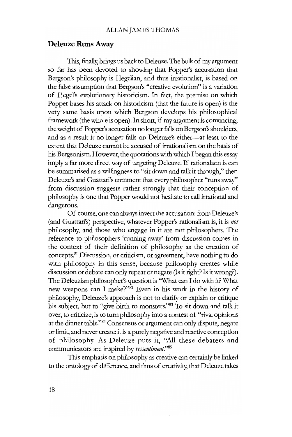## **Deleuze Runs Away**

This, finally, brings us back to Deleuze. The bulkof my argument so far has been devoted to showing that Popper's accusation that Bergson's philosophy is Hegelian, and thus irrationalist, is based on the false assumption that Bergson's "creative evolution" is a variation of Hegel's evolutionary historicism. In fact, the premise on which Popper bases his attack on historicism (that the future is open) is the very same basis upon which Bergson develops his philosophical framework (the whole is open). In short, if my argument is convincing, the weight of Popper's accusation no longer falls on Bergson's shoulders, and as a result it no longer falls on Deleuze's either-at least to the extent that Deleuze cannot be accused of irrationalism on the basis of his Bergsonism. However, the quotations with which I began this essay imply a far more direct way of targeting Deleuze. If rationalism is can be summarised as a willingness to "sit down and talk it through," then Deleuze's and Guattari's comment that every philosopher "runs away" from discussion suggests rather strongly that their conception of philosophy is one that Popper would not hesitate to call irrational and dangerous.

Of course, one can alwaysinvert the accusation: from Deleuze's (and Guattari's) perspective, whatever Popper's rationalism is, it is *not* philosophy, and those who engage in it are not philosophers. The reference to philosophers 'running away' from discussion comes in the context of their definition of philosophy as the creation of concepts.81 Discussion, or criticism, or agreement, have nothing to do with philosophy in this sense, because philosophy creates while discussion or debate can only repeat or negate (Is it right? Is it wrong?). The Deleuzian philosopher's question is ''What can I do with it? What new weapons can I make?"<sup>82</sup> Even in his work in the history of philosophy, Deleuze's approach is not to clarify or explain or critique his subject, but to "give birth to monsters."<sup>83</sup> To sit down and talk it over, to criticize, is to turn philosophy into a contest of "rival opinions at the dinner table."84 Consensus or argument can only dispute, negate orlimit, and never create: it is a purely negative and reactive conception of philosophy. As Deleuze puts it, "All these debaters and communicators are inspired by *ressentiment."85*

This emphasis on philosophy as creative can certainly be linked to the ontology of difference, and thus of creativity, that Deleuze takes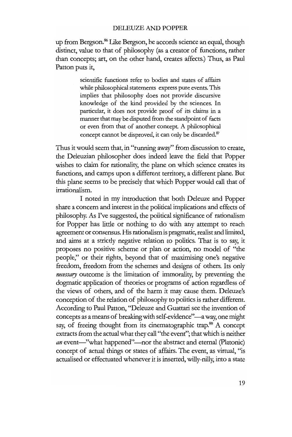up from Bergson.<sup>86</sup> Like Bergson, he accords science an equal, though distinct, value to that of philosophy (as a creator of functions, rather than concepts; art, on the other hand, creates affects.) Thus, as Paul Patton puts it,

> scientific functions refer to bodies and states of affairs while philosophical statements express pure events. This implies that philosophy does not provide discursive knowledge of the kind provided by the sciences. In particular, it does not provide proof of its claims in a manner that may be disputed from the standpoint of facts or even from that of another concept. A philosophical concept cannot be disproved, it can only be discarded.<sup>87</sup>

Thus it would seem that, in "running away" from discussion to create, the Deleuzian philosopher does indeed leave the field that Popper wishes to claim for rationality, the plane on which science creates its functions, and camps upon a different territory, a different plane. But this plane seems to be precisely that which Popper would call that of irrationalism.

I noted in my introduction that both Deleuze and Popper share a concern and interest in the political implications and effects of philosophy. As I've suggested, the political significance of rationalism for Popper has little or nothing to do with any attempt to reach agreement or consensus. His rationalism is pragmatic, realist and limited, and aims at a strictly negative relation to politics. That is to say, it proposes no positive scheme or plan or action, no model of "the people;' or their rights, beyond that of maximising one's negative freedom, freedom from the schemes and designs of others. Its only *necessary* outcome is the limitation of immorality, by preventing the dogmatic application of theories or programs of action regardless of the views of others, and of the harm it may cause them. Deleuze's conception of the relation of philosophy to politics is rather different. According to Paul Patton, "Deleuze and Guattari see the invention of concepts as a means of breaking with self-evidence"-a way, one might say, of freeing thought from its cinematographic trap.<sup>88</sup> A concept extracts from the actual what they call "the event"; that which is neither *an* event-"what happened"-nor the abstract and eternal (Platonic) concept of actual things or states of affairs. The event, as virtual, "is actualised or effectuated whenever it is inserted, willy-nilly; into astate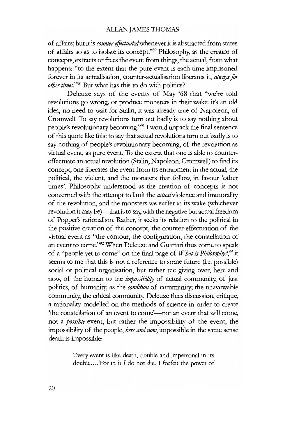of affairs; but it is *counter-effectuated* whenever it is abstracted from states of affairs so as to isolate its concept."89 Philosophy, as the creator of concepts, extracts or frees the event from things, the actual, from what happens: "to the extent that the pure event is each time imprisoned forever in its actualisation, counter-actualisation liberates it, *always for other times.*"<sup>90</sup> But what has this to do with politics?

Deleuze says of the events of May '68 that "we're told revolutions go wrong, or produce monsters in their wake: it's an old idea, no need to wait for Stalin, it was already true of Napoleon, of Cromwell. To say revolutions turn out badly is to say nothing about people's revolutionary becoming."<sup>91</sup> I would unpack the final sentence of this quote like this: to say that actual revolutions turn out badly is to say nothing of people's revolutionary becoming, of the revolution as virtual event, as pure event. To the extent that one is able to countereffectuate an actual revolution (Stalin, Napoleon, Cromwell) to find its concept, one liberates the event from its entrapment in the actual, the political, the violent, and the monsters that follow, in favour 'other times'. Philosophy understood as the creation of concepts is not concerned with the attempt to limit the *actua/violence* and immorality *oE* the revolution, and the monsters we suffer in its wake (whichever revolution it may be)-that is to say, with the negative but actual freedom of Popper's rationalism. Rather, it seeks its relation to the political in the positive creation of the concept, the counter-effectuation of the virtual event as "the contour, the configuration, the constellation of an event to come."92 When Deleuze and Guattari thus come to speak of a "people yet to come" on the final page of *What is Philosophy?*<sup>93</sup> it seems to me that this is not a reference to some future (i.e. possible) social or political organisation, but rather the giving over, here and now, of the human to the *impossibility* of actual community, of just politics, of humanity, as the *condition* of community; the unavowable community; the ethical community. Deleuze flees discussion, critique, a rationality modelled on the methods of science in order to create 'the constellation of an event to come'—not an event that will come, not a *possible* event, but rather the impossibility of the event, the impossibility of the people, *here and now,* impossible in the same sense death is impossible:

> Every event is like death, double and impersonal in its double....'For in it I do not die. I forfeit the power of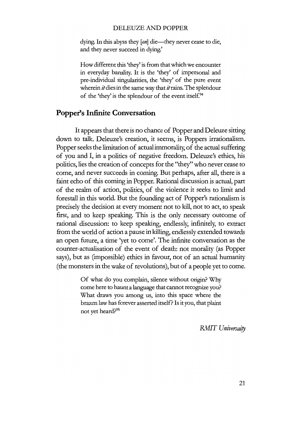#### DELEUZE AND POPPER

dying. In this abyss they [on] die—they never cease to die, and they never succeed in dying.'

How different this 'they' is from that which we encounter in everyday banality. It is the 'they' of impersonal and pre-individual singularities, the 'they' of the pure event wherein  $it$  dies in the same way that  $it$  rains. The splendour of the 'they' is the splendour of the event itself.<sup>94</sup>

## **Popper's Infinite Conversation**

It appears that there is no chance of Popper and Deleuze sitting down to talk. Deleuze's creation, it seems, is Poppers irrationalism. Popper seeks the limitation of actual immorality, of the actual suffering of you and I, in a polities of negative freedom. Deleuze's ethics, bis politics, lies the creation of concepts for the "they" who never cease to come, and never succeeds in coming. But perhaps, after all, there is a faint echo of this coming in Popper. Rational discussion is actual, part of the realm of action, politics, of the violenee it seeks to limit and forestall in this world. But the founding aet of Popper's rationalism is precisely the decision at every moment not to kill, not to act, to speak first, and to keep speaking. This is the only necessary outcome of rational discussion: to keep speaking, endlessly, infinitely, to extract from the world of action a pause in killing, endlessly extended towards an open future, a time 'yet to come'. The infinite conversation as the counter-actualisation of the event of death: not morality (as Popper says), but as (impossible) ethies in favour, not of an actual humanity (the monsters in the wake of revolutions), but of a people yet to come.

> Of what do you complain, silence without origin? Why come here to haunt a language that cannot recognize you? What draws you among us, into this space where the brazen law has forever asserted itself? Is it you, that plaint not yet heard?95

> > **RMIT** *Universaity*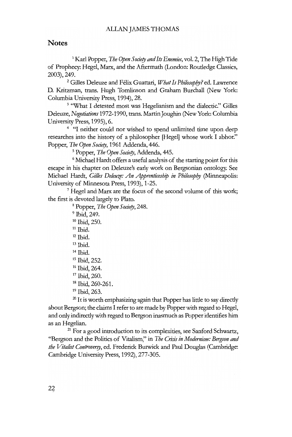## **Notes**

<sup>1</sup> Karl Popper, *The Open Society and Its Enemies*, vol. 2, The High Tide of Prophecy: Hegel, Marx, and the Aftermath (London: Routledge Classics, 2003),249.

<sup>2</sup> Gilles Deleuze and Félix Guattari, *What Is Philosophy?* ed. Lawrence D. Kritzman, trans. Hugh Tomlinson and Graham Burchall (New York: Columbia University Press, 1994), 28.

<sup>3</sup> "What I detested most was Hegelianism and the dialectic." Gilles Deleuze, *Negotiations* 1972-1990, trans. MartinJoughin (New York: Columbia University Press, 1995), 6.

4 "I neither could nor wished to spend unlimited time upon deep researches into the history of a philosopher [Hegel] whose work I abhor." Popper, *The Open Society*, 1961 Addenda, 446.

<sup>5</sup> Popper, *The Open Society*, Addenda, 445.

<sup>6</sup> Michael Hardt offers a useful analysis of the starting point for this escape in his chapter on Deleuze's early work on Bergsonian ontology: See Michael Hardt, *Gi/les Deleuze: An Apprenticeship in Phi/osophy* (Minneapolis: University of Minnesota Press, 1993), 1-25.

7Hegel and Marx are the focus of the second volume of this work; the first is devoted largely to Plato.

<sup>8</sup> Popper, *The Open Society*, 248.

<sup>9</sup> Ibid, 249. <sup>10</sup> 1bid, 250.  $11$  Ibid.  $12$  Ibid.  $13$  Ibid.  $14$  Ibid. <sup>15</sup> 1bid, 252. <sup>16</sup> Ibid, 264. <sup>17</sup> Ibid, 260. <sup>18</sup> 1bid, 260-261. <sup>19</sup> 1bid, 263.

 $20$  It is worth emphasizing again that Popper has little to say directly about Bergson; the claims I refer to are made by Popper with regard to Hegel, and only indirectlywith regard to Bergson inasmuch as Popper identifies him as an Hegelian.

<sup>21</sup> For a good introduction to its complexities, see Sanford Schwartz, "Bergson and the Politics of Vitalism," in *The Crisis in Modernism: Bergson and the Vitalist Controversy*, ed. Frederick Burwick and Paul Douglas (Cambridge: Carnbridge University Press, 1992), 277-305.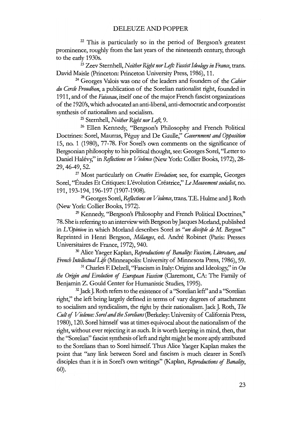$22$  This is particularly so in the period of Bergson's greatest prominence, roughly from the last years of the nineteenth century, through to the early 1930s.

<sup>23</sup> Zeev Sternhell, *Neither RightnorLejt: Fascistldeology in France,* trans. David Maisie (princeton: Princeton University Press, 1986), 11.

<sup>24</sup> Georges Valois was one of the leaders and founders of the *Cahier du Cercle Proudhon,* a publication of the Sorelian nationalist right, founded in 1911, and of the *Faisceau,* itself one of the major French fascist organizations of the 1920's,which advocated an anti-liberal, anti-democratic and corporatist synthesis of nationalism and socialism.

<sup>25</sup> Sternhell, *Neither Right nor Left*, 9.

<sup>26</sup> Ellen Kennedy, "Bergson's Philosophy and French Political Doctrines: Sorel, Maurras, Peguy and De Gaulle," *Government and Opposition* 15, no. 1 (1980), 77-78. For Sorel's own comments on the significance of Bergsonian philosophy to his political thought, see: Georges Sorel, "Letter to Daniel Halevy;" in *Reflections on Violence* (New York: Collier Books, 1972), 28- 29,46-49,52.

<sup>27</sup> Most particularly on *Creative Evolution;* see, for example, Georges Sorel, "Études Et Critiques: L'évolution Créatrice," *Le Mouvement socialist*, no. 191, 193-194, 196-197 (1907-1908).

<sup>28</sup> Georges Sorel, *Reflections on Violence*, trans. T.E. Hulme and J. Roth (New York: Collier Books, 1972).

<sup>29</sup> Kennedy, "Bergson's Philosophy and French Political Doctrines," 78. She is referring to an interview with Bergson by Jacques Morland, published in *L'Opinion* in which Morland describes Sorel as *"un disciple de* M. *Bergson."* Reprinted in Henri Bergson, *Melanges,* ed. Andre Robinet (paris: Presses Universitaires de France, 1972), 940.

<sup>30</sup> Allce Yaeger Kaplan, *Reproductions* of *Banality: Fascism, Literature, and French IntellectualLift* (Minneapolis: University of Minnesota Press, 1986),59.

<sup>31</sup> Charles F. Delzell, "Fascism in Italy: Origins and Ideology," in *On the Origin and Evolution* of *European Fascism* (Claremont, CA: The Family of Benjamin Z. Gould Center for Humanistic Studies, 1995).

<sup>32</sup> Jack J. Roth refers to the existence of a "Sorelian left" and a "Sorelian right," the left being largely defmed in terms of vary degrees of attachment to socialism and syndicalism, the right by their nationalism.Jack J. Roth, *The Cult*of *Violence: Sorelandthe Sorelians* (Berkeley: University of California Press, 1980), 120. Sorel himself was at times equivocal about the nationalism of the right, without ever rejecring it as such. It is worth keeping in mind, then, that the "Sorelian" fascist synthesis of left and right might be more aptly attributed to the Sorelians than to Sorel himselt: Thus Allce Yaeger Kaplan makes the point that "any link between Sorel and fascism is much clearer in Sorel's disciples than it is in Sorel's own writings" (Kaplan, *Reproductions* of *Banality,* 60).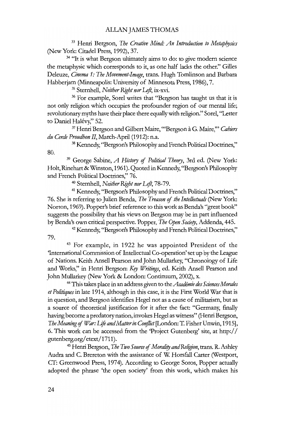<sup>33</sup> Henri Bergson, *The Creative Mind: An Introduction to Metaphysics* (New York: Citadel Press, 1992), 37.

<sup>34</sup> "It is what Bergson ultimately aims to do: to give modern science the metaphysic wbich corresponds to it, as one half lacks the other." Gilles Deleuze, *Cinema* 1: *The Movement-1mage,* trans. Hugh Tomlinson and Barbara Habberjam (Minneapolis: University of Minnesota Press, 1986), 7.

<sup>35</sup> Sternhell, *Neither Right nor Left*, ix-xvi.

<sup>36</sup> For example, Sorel writes that "Bergson has taught us that it is not only religion which occupies the profounder region of our mental life; revolutionarymyths have their place there equallywith religion." Sorel, ''Letter to Daniel Halévy," 52.

<sup>37</sup> Henri Bergson and Gilbert Maire, "Bergson à G. Maire," *Cahiers du Cercle Proudhon 11,* March-April (1912): n.a.

<sup>38</sup> Kennedy, "Bergson's Philosophy and French Political Doctrines," 80.

<sup>39</sup> George Sabine, *A History* of *Political Theory,* 3rd ed. (New York: Holt, Rinehart & Winston, 1961). Quoted in Kennedy, "Bergson's Philosophy and French Political Doctrines;' 76.

<sup>40</sup> Sternhell, *Neither Right nor Left*, 78-79.

<sup>41</sup> Kennedy, ''Bergson's Philosophyand French Political Doctrines," 76. She is referring to Julien Benda, *The Treason of the Intellectuals* (New York: Norton, 1969). Popper's brief reference to this work as Benda's "great book" suggests the possibility that bis views on Bergson may be in part influenced by Benda's own critical perspective. Popper, *The Open Society,* Addenda, 445.

<sup>42</sup> Kennedy, ''Bergson's Philosophy and French Political Doctrines," 79.

<sup>43</sup> For example, in 1922 he was appointed President of the 'International Commission of Intellectual Co-operation' set up by the League of Nations. Keith Ansell Pearson and John Mullarkey, "Chronology of Ufe and Works," in Henri Bergson: *Kry Writings,* ed. Keith Ansell Pearson and John Mullarkey (New York & London: Continuum, 2002), x.

<sup>44</sup> This takes place in an address given to *theAcadimie des SciencesMorales et Politiques*in late 1914, although in this case, it is the First World War that is in question, and Bergson identifies Hegel not as a cause of militarism, but as a source of theoretical justification for it after the fact: "Germany, fmally having become a predatory nation, invokes Hegel as witness" (Henri Bergson, *The Meaning* of *War: Lift andMatterin Conflict* [London: T. Fisher Unwin, 1915], 6. This work can be accessed from the 'Project Gutenberg' site, at http:// gutenberg.org/etext/1711).

<sup>45</sup> Henri Bergson, *The Two Source of Morality and Religion*, trans. R. Ashley Audra and C. Brereton with the assistance of W. Horsfail Carter (Westport, CT: Greenwood Press, 1974). According to George Soros, Popper actually adopted the phrase 'the open society' from this work, wbich makes bis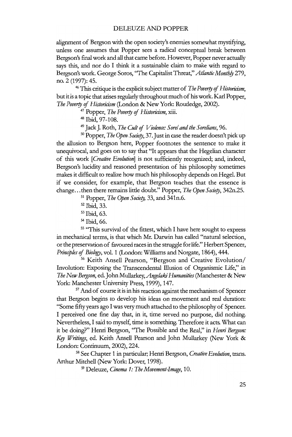alignment of Bergson with the open society's enemies somewhat mystifying, unless one assumes that Popper sees a radical conceptual break between Bergson's final work and all that came before. However, Popper never actually says this, and nor do I think it a sustainable claim to make with regard to Bergson's work. George Soros, "The Capitalist Threat," Atlantic Monthly 279, no. 2 (1997): 45.

<sup>46</sup> This critique is the explicit subject matter of *The Poverty of Historicism*, but it is a topic that arises regularly throughout much of his work. Karl Popper, *The Poverry* of *Historicism* (London & New York: Routledge, 2002).

<sup>47</sup> Popper, *The Poverry* of *Historicism,* xiii.

<sup>48</sup> Ibid, 97-108.

<sup>49</sup> Jack J. Roth, *The Cult of Violence: Sorel and the Sorelians*, 96.

<sup>50</sup> Popper, *The Open Society*, 37. Just in case the reader doesn't pick up the allusion to Bergson here, Popper footnotes the sentence to make it unequivocal, and goes on to say that "It appears that the Hegelian character of this work *[Creative Evolution]* is not sufficiently recognized; and, indeed, Bergson's lucidity and reasoned presentation of his philosophy sometimes makes it difficult to realize how much his philosophy depends on Hegel. But if we consider, for example, that Bergson teaches that the essence is change...then there remains little doubt." Popper, *The Open Society*, 342n.25.

<sup>51</sup> Popper, *The Open Society*, 33, and 341n.6.

<sup>54</sup> Ibid, 66.

<sup>55</sup> "This survival of the fittest, which I have here sought to express in mechanical terms, is that wbich Mt. Darwin has called "natural selection, or the preservation of favoured races in the struggle for life." Herbert Spencer, *PrincijJles* of *Biology,* voL 1 (London: Williams and Norgate, 1864), 444.

<sup>56</sup> Keith Ansell Pearson, "Bergson and Creative Evolution/ Involution: Exposing the Transcendental Illusion of Organismic Life," in *The* New Bergson, ed. John Mullarkey, *Angelaki Humanities* (Manchester & New York: Manchester University Press, 1999), 147.

 $57$  And of course it is in his reaction against the mechanism of Spencer that Bergson begins to develop bis ideas on movement and real duration: "Some fifty years ago I was very much attached to the philosophy of Spencer. I perceived one fine day that, in it, time served no purpose, did nothing. Nevertheless, I said to myself, time is something. Therefore it acts. What can it be doing?" Henri Bergson, ''The Possible and the Real," in *Henri Bergson:* Key Writings, ed. Keith Ansell Pearson and John Mullarkey (New York & London: Continuum, 2002), 224.

<sup>58</sup> See Chapter 1 in particular; Henri Bergson, *Creative Evolution,* trans. Arthur Mitchell (New York: Dover, 1998).

<sup>59</sup> Deleuze, *Cinema* 1: *The Movement-Image, 10.*

<sup>52</sup> Ibid, 33.

<sup>53</sup> Ibid, 63.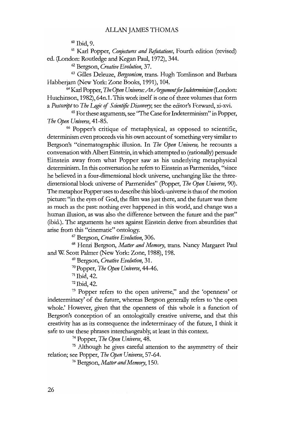<sup>60</sup> Ibid, 9.

<sup>61</sup> Karl Popper, *Conjeaures and Refutations,* Fourth edition (revised) ed. (London: Routledge and Kegan Paul, 1972), 344.

<sup>62</sup> Bergson, *Creative Evolution,* 37.

<sup>63</sup> Gilles Deleuze, *Bergsonism,* trans. Hugh Tomlinson and Barbara Habberjam (New York: Zone Books, 1991), 104.

<sup>64</sup> Karl Popper, *The Open Universe:AnArgumentforIndeterminism* (London: Hutchinson, 1982), 64n.l. This work itself is one of three volumes that form a *Postscript* to *The Logic of Scientific Discovery*; see the editor's Forward, xi-xvi.

<sup>65</sup> Forthese arguments, see ''The Case for Indeterminism" in Popper, *The Open Universe, 41-85.*

<sup>66</sup> Popper's critique of metaphysical, as opposed to scientific, determinism even proceeds via his own account of something very similar to Bergson's "cinematographic illusion. In *The Open Universe*, he recounts a conversation with Albert Einstein, in which attempted to (rationally) persuade Einstein away from what Popper saw as his underlying metaphysical determinism. In this conversation he refers to Einstein as Parmenides, "since he believed in a four-dimensional block universe, unchanging like the threedimensional block universe of Parmenides" (Popper, *The Open Universe*, 90). The metaphor Popper uses to describe this block-universe is that of the motion picture: "in the eyes of God, the film was just there, and the future was there as much as the past: nothing ever happened in this world, and change was a human illusion, as was also the difference between the future and the past" (ibid.). The arguments he uses against Einstein derive from absurdities that arise from this "cinematic" ontology.

<sup>67</sup> Bergson, *Creative Evolution, 306.*

<sup>68</sup> Henri Bergson, *Matter and Memory,* trans. Nancy Margaret Paul and W. Scott Palmer (New York: Zone, 1988), 198.

<sup>69</sup> Bergson, *Creative Evolution, 31.*

<sup>70</sup> Popper, *The Open Universe, 44-46.*

 $71$  Ibid, 42.

<sup>72</sup> Ibid, 42.

<sup>73</sup> Popper refers to the open universe," and the 'openness' or indeterminacy' of the future, whereas Bergson generally refers to 'the open whole.' However, given that the openness of this whole is a function of Bergson's conception of an ontologically creative universe, and that this creativity has as its consequence the indeterminacy of the future, I think it safe to use these phrases interchangeably; at least in this context.

<sup>74</sup> Popper, *The Open Universe, 48.*

<sup>75</sup> Although he gives careful attention to the asymmetry of their relation; see Popper, *The Open Universe, 57-64.*

<sup>76</sup> Bergson, *Matter andMemory, 150.*